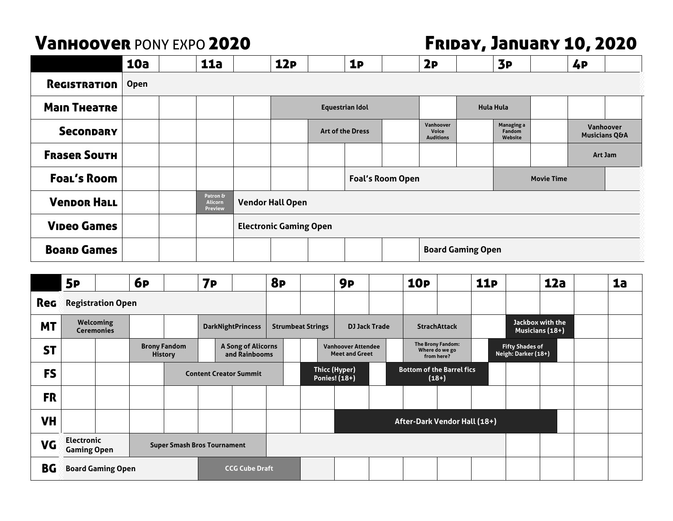## Vanhoover PONY EXPO 2020 Friday, January 10, 2020

|                     | 10a         |  | 11a                                   |                          | 12P                           |  | 1P                     |                         | 2P                                            |  | 3P                                     |                   | 4 <b>P</b> |                                       |  |
|---------------------|-------------|--|---------------------------------------|--------------------------|-------------------------------|--|------------------------|-------------------------|-----------------------------------------------|--|----------------------------------------|-------------------|------------|---------------------------------------|--|
| Registration        | <b>Open</b> |  |                                       |                          |                               |  |                        |                         |                                               |  |                                        |                   |            |                                       |  |
| <b>Main Thearne</b> |             |  |                                       |                          |                               |  | <b>Equestrian Idol</b> |                         | <b>Hula Hula</b>                              |  |                                        |                   |            |                                       |  |
| <b>Secondary</b>    |             |  |                                       |                          | <b>Art of the Dress</b>       |  |                        |                         | Vanhoover<br><b>Voice</b><br><b>Auditions</b> |  | <b>Managing a</b><br>Fandom<br>Website |                   |            | Vanhoover<br><b>Musicians Q&amp;A</b> |  |
| <b>FRASER SOUTH</b> |             |  |                                       |                          |                               |  |                        |                         |                                               |  |                                        |                   | Art Jam    |                                       |  |
| <b>Foal's Room</b>  |             |  |                                       |                          |                               |  |                        | <b>Foal's Room Open</b> |                                               |  |                                        | <b>Movie Time</b> |            |                                       |  |
| <b>Venpor Hall</b>  |             |  | Patron &<br><b>Alicorn</b><br>Preview |                          | <b>Vendor Hall Open</b>       |  |                        |                         |                                               |  |                                        |                   |            |                                       |  |
| <b>Vipeo Games</b>  |             |  |                                       |                          | <b>Electronic Gaming Open</b> |  |                        |                         |                                               |  |                                        |                   |            |                                       |  |
| <b>Boarp Games</b>  |             |  |                                       | <b>Board Gaming Open</b> |                               |  |                        |                         |                                               |  |                                        |                   |            |                                       |  |

|            | <b>5P</b>                                                                     |                                       | <b>6P</b> |                                       | 7 <sub>P</sub> |                                     | <b>8P</b> |                                                  |  | <b>9P</b>                                          |                                             | <b>10P</b> |                                                   | <b>11P</b>                          |                                               | 12a |  | 1a |
|------------|-------------------------------------------------------------------------------|---------------------------------------|-----------|---------------------------------------|----------------|-------------------------------------|-----------|--------------------------------------------------|--|----------------------------------------------------|---------------------------------------------|------------|---------------------------------------------------|-------------------------------------|-----------------------------------------------|-----|--|----|
| <b>Reg</b> | <b>Registration Open</b>                                                      |                                       |           |                                       |                |                                     |           |                                                  |  |                                                    |                                             |            |                                                   |                                     |                                               |     |  |    |
| <b>MT</b>  |                                                                               | <b>Welcoming</b><br><b>Ceremonies</b> |           | <b>DarkNightPrincess</b>              |                |                                     |           | <b>DJ Jack Trade</b><br><b>Strumbeat Strings</b> |  |                                                    | <b>StrachAttack</b>                         |            |                                                   | Jackbox with the<br>Musicians (18+) |                                               |     |  |    |
| <b>ST</b>  |                                                                               |                                       |           | <b>Brony Fandom</b><br><b>History</b> |                | A Song of Alicorns<br>and Rainbooms |           |                                                  |  | <b>Vanhoover Attendee</b><br><b>Meet and Greet</b> |                                             |            | The Brony Fandom:<br>Where do we go<br>from here? |                                     | <b>Fifty Shades of</b><br>Neigh: Darker (18+) |     |  |    |
| <b>FS</b>  |                                                                               |                                       |           |                                       |                | <b>Content Creator Summit</b>       |           | <b>Thicc (Hyper)</b><br>Ponies! (18+)            |  |                                                    | <b>Bottom of the Barrel fics</b><br>$(18+)$ |            |                                                   |                                     |                                               |     |  |    |
| <b>FR</b>  |                                                                               |                                       |           |                                       |                |                                     |           |                                                  |  |                                                    |                                             |            |                                                   |                                     |                                               |     |  |    |
| <b>VH</b>  |                                                                               |                                       |           |                                       |                |                                     |           |                                                  |  |                                                    |                                             |            | After-Dark Vendor Hall (18+)                      |                                     |                                               |     |  |    |
| <b>VG</b>  | <b>Electronic</b><br><b>Super Smash Bros Tournament</b><br><b>Gaming Open</b> |                                       |           |                                       |                |                                     |           |                                                  |  |                                                    |                                             |            |                                                   |                                     |                                               |     |  |    |
| BG         | <b>Board Gaming Open</b><br><b>CCG Cube Draft</b>                             |                                       |           |                                       |                |                                     |           |                                                  |  |                                                    |                                             |            |                                                   |                                     |                                               |     |  |    |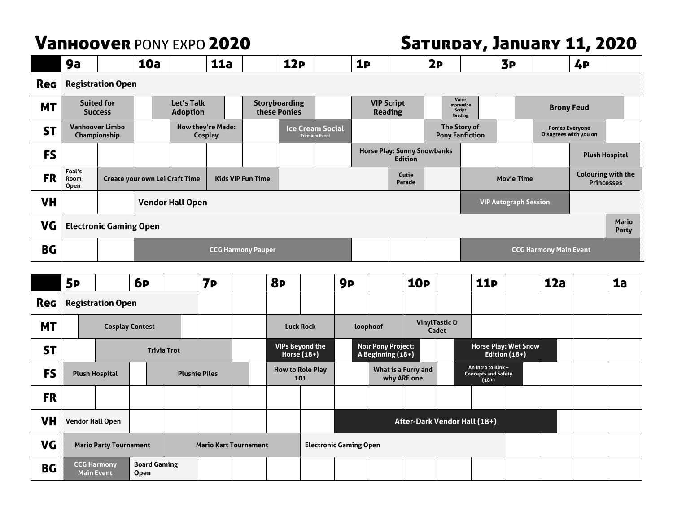# Vanhoover PONY EXPO 2020 Saturday, January 11, 2020

|           | 9а                                                                                                      |                                        | <b>10a</b> |                                                                       |                         | <b>11a</b>        |                                                 | 12P |  | <b>1P</b>                           |                                                      | 2P                                                     |                                                | 3P                                              |                   | 4P |                       |
|-----------|---------------------------------------------------------------------------------------------------------|----------------------------------------|------------|-----------------------------------------------------------------------|-------------------------|-------------------|-------------------------------------------------|-----|--|-------------------------------------|------------------------------------------------------|--------------------------------------------------------|------------------------------------------------|-------------------------------------------------|-------------------|----|-----------------------|
| Reg       | <b>Registration Open</b>                                                                                |                                        |            |                                                                       |                         |                   |                                                 |     |  |                                     |                                                      |                                                        |                                                |                                                 |                   |    |                       |
| <b>MT</b> |                                                                                                         | <b>Suited for</b><br><b>Success</b>    |            | Let's Talk<br><b>Storyboarding</b><br>these Ponies<br><b>Adoption</b> |                         |                   |                                                 |     |  | <b>VIP Script</b><br><b>Reading</b> |                                                      | Voice<br>Impression<br><b>Script</b><br><b>Reading</b> |                                                |                                                 | <b>Brony Feud</b> |    |                       |
| <b>ST</b> |                                                                                                         | <b>Vanhoover Limbo</b><br>Championship |            |                                                                       | Cosplay                 | How they're Made: | <b>Ice Cream Social</b><br><b>Premium Event</b> |     |  |                                     | The Story of<br><b>Pony Fanfiction</b>               |                                                        |                                                | <b>Ponies Everyone</b><br>Disagrees with you on |                   |    |                       |
| <b>FS</b> |                                                                                                         |                                        |            |                                                                       |                         |                   |                                                 |     |  |                                     | <b>Horse Play: Sunny Snowbanks</b><br><b>Edition</b> |                                                        |                                                |                                                 |                   |    | <b>Plush Hospital</b> |
| <b>FR</b> | Foal's<br>Cutie<br><b>Kids VIP Fun Time</b><br>Create your own Lei Craft Time<br>Room<br>Parade<br>Open |                                        |            |                                                                       |                         |                   |                                                 |     |  |                                     | <b>Movie Time</b>                                    |                                                        | <b>Colouring with the</b><br><b>Princesses</b> |                                                 |                   |    |                       |
| <b>VH</b> |                                                                                                         |                                        |            |                                                                       | <b>Vendor Hall Open</b> |                   |                                                 |     |  |                                     |                                                      |                                                        |                                                | <b>VIP Autograph Session</b>                    |                   |    |                       |
| <b>VG</b> | <b>Electronic Gaming Open</b>                                                                           |                                        |            |                                                                       |                         |                   |                                                 |     |  |                                     |                                                      |                                                        |                                                | <b>Mario</b><br><b>Party</b>                    |                   |    |                       |
| <b>BG</b> | <b>CCG Harmony Pauper</b>                                                                               |                                        |            |                                                                       |                         |                   |                                                 |     |  | <b>CCG Harmony Main Event</b>       |                                                      |                                                        |                                                |                                                 |                   |    |                       |
|           | <b>6P</b><br><b>8P</b><br>12a<br><b>5P</b><br><b>10P</b><br><b>11P</b><br><b>7P</b><br><b>9P</b>        |                                        |            |                                                                       |                         |                   |                                                 |     |  |                                     |                                                      | 1a                                                     |                                                |                                                 |                   |    |                       |

|            | 5P                                                            |                                         | 6 <sub>P</sub>                     |  | 7P                   | 8P                            |                                                                                           | 9 <sub>P</sub>               |  | <b>10P</b>                         |  | <b>11P</b>                                                  |                                                | <b>12a</b> |  | 1a |
|------------|---------------------------------------------------------------|-----------------------------------------|------------------------------------|--|----------------------|-------------------------------|-------------------------------------------------------------------------------------------|------------------------------|--|------------------------------------|--|-------------------------------------------------------------|------------------------------------------------|------------|--|----|
| <b>Reg</b> |                                                               | <b>Registration Open</b>                |                                    |  |                      |                               |                                                                                           |                              |  |                                    |  |                                                             |                                                |            |  |    |
| <b>MT</b>  |                                                               | <b>Cosplay Contest</b>                  |                                    |  |                      | <b>Luck Rock</b>              | VinylTastic &<br>loophoof<br>Cadet                                                        |                              |  |                                    |  |                                                             |                                                |            |  |    |
| <b>ST</b>  |                                                               | <b>Trivia Trot</b>                      |                                    |  |                      |                               | <b>VIPs Beyond the</b><br><b>Noir Pony Project:</b><br>Horse $(18+)$<br>A Beginning (18+) |                              |  |                                    |  |                                                             | <b>Horse Play: Wet Snow</b><br>Edition $(18+)$ |            |  |    |
| <b>FS</b>  |                                                               | <b>Plush Hospital</b>                   |                                    |  | <b>Plushie Piles</b> |                               | <b>How to Role Play</b><br>101                                                            |                              |  | What is a Furry and<br>why ARE one |  | An Intro to Kink -<br><b>Concepts and Safety</b><br>$(18+)$ |                                                |            |  |    |
| <b>FR</b>  |                                                               |                                         |                                    |  |                      |                               |                                                                                           |                              |  |                                    |  |                                                             |                                                |            |  |    |
| <b>VH</b>  | <b>Vendor Hall Open</b>                                       |                                         |                                    |  |                      |                               |                                                                                           | After-Dark Vendor Hall (18+) |  |                                    |  |                                                             |                                                |            |  |    |
| VG         | <b>Mario Party Tournament</b><br><b>Mario Kart Tournament</b> |                                         |                                    |  |                      | <b>Electronic Gaming Open</b> |                                                                                           |                              |  |                                    |  |                                                             |                                                |            |  |    |
| <b>BG</b>  |                                                               | <b>CCG Harmony</b><br><b>Main Event</b> | <b>Board Gaming</b><br><b>Open</b> |  |                      |                               |                                                                                           |                              |  |                                    |  |                                                             |                                                |            |  |    |